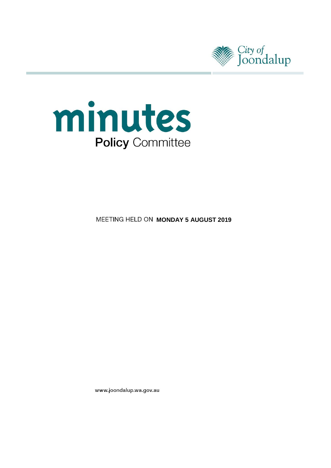



**MEETING HELD ON MONDAY 5 AUGUST 2019** 

www.joondalup.wa.gov.au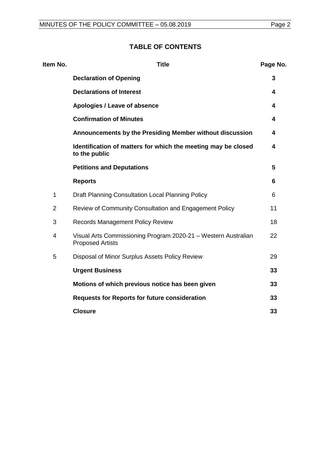## **TABLE OF CONTENTS**

| Item No.       | <b>Title</b>                                                                              | Page No. |
|----------------|-------------------------------------------------------------------------------------------|----------|
|                | <b>Declaration of Opening</b>                                                             | 3        |
|                | <b>Declarations of Interest</b>                                                           | 4        |
|                | Apologies / Leave of absence                                                              | 4        |
|                | <b>Confirmation of Minutes</b>                                                            | 4        |
|                | Announcements by the Presiding Member without discussion                                  | 4        |
|                | Identification of matters for which the meeting may be closed<br>to the public            | 4        |
|                | <b>Petitions and Deputations</b>                                                          | 5        |
|                | <b>Reports</b>                                                                            | 6        |
| 1              | Draft Planning Consultation Local Planning Policy                                         | 6        |
| $\overline{2}$ | Review of Community Consultation and Engagement Policy                                    | 11       |
| 3              | <b>Records Management Policy Review</b>                                                   | 18       |
| 4              | Visual Arts Commissioning Program 2020-21 - Western Australian<br><b>Proposed Artists</b> | 22       |
| 5              | Disposal of Minor Surplus Assets Policy Review                                            | 29       |
|                | <b>Urgent Business</b>                                                                    | 33       |
|                | Motions of which previous notice has been given                                           | 33       |
|                | <b>Requests for Reports for future consideration</b>                                      | 33       |
|                | <b>Closure</b>                                                                            | 33       |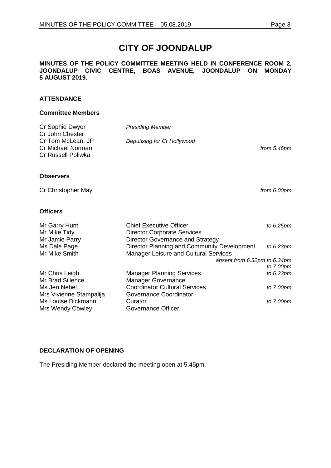# **CITY OF JOONDALUP**

#### **MINUTES OF THE POLICY COMMITTEE MEETING HELD IN CONFERENCE ROOM 2, JOONDALUP CIVIC CENTRE, BOAS AVENUE, JOONDALUP ON MONDAY 5 AUGUST 2019.**

#### **ATTENDANCE**

#### **Committee Members**

| Cr Sophie Dwyer<br>Cr John Chester<br>Cr Tom McLean, JP<br>Cr Michael Norman<br>Cr Russell Poliwka | <b>Presiding Member</b><br>Deputising for Cr Hollywood                                                   | from 5.46pm  |
|----------------------------------------------------------------------------------------------------|----------------------------------------------------------------------------------------------------------|--------------|
| <b>Observers</b>                                                                                   |                                                                                                          |              |
| Cr Christopher May                                                                                 |                                                                                                          | from 6.00pm  |
| <b>Officers</b>                                                                                    |                                                                                                          |              |
| Mr Garry Hunt<br>Mr Mike Tidy<br>Mr Jamie Parry                                                    | <b>Chief Executive Officer</b><br><b>Director Corporate Services</b><br>Director Governance and Strategy | to 6.25pm    |
| Ms Dale Page<br>Mr Mike Smith                                                                      | Director Planning and Community Development<br><b>Manager Leisure and Cultural Services</b>              | to $6.23$ pm |
|                                                                                                    | absent from 6.32pm to 6.34pm                                                                             |              |

|                                      | to 7.00pm    |
|--------------------------------------|--------------|
| <b>Manager Planning Services</b>     | to $6.23$ pm |
| <b>Manager Governance</b>            |              |
| <b>Coordinator Cultural Services</b> | to 7.00pm    |
| Governance Coordinator               |              |
| Curator                              | to 7.00pm    |
| Governance Officer                   |              |
|                                      |              |

#### <span id="page-2-0"></span>**DECLARATION OF OPENING**

The Presiding Member declared the meeting open at 5.45pm.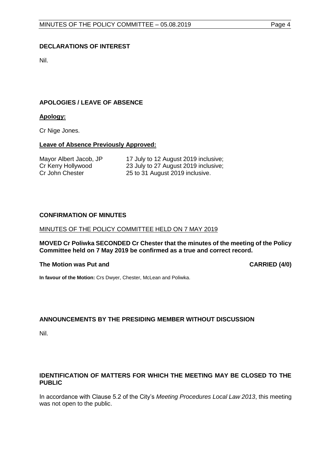#### <span id="page-3-0"></span>**DECLARATIONS OF INTEREST**

Nil.

#### <span id="page-3-1"></span>**APOLOGIES / LEAVE OF ABSENCE**

#### **Apology:**

Cr Nige Jones.

#### **Leave of Absence Previously Approved:**

| Mayor Albert Jacob, JP | 17 July to 12 August 2019 inclusive; |
|------------------------|--------------------------------------|
| Cr Kerry Hollywood     | 23 July to 27 August 2019 inclusive; |
| Cr John Chester        | 25 to 31 August 2019 inclusive.      |

#### <span id="page-3-2"></span>**CONFIRMATION OF MINUTES**

#### MINUTES OF THE POLICY COMMITTEE HELD ON 7 MAY 2019

**MOVED Cr Poliwka SECONDED Cr Chester that the minutes of the meeting of the Policy Committee held on 7 May 2019 be confirmed as a true and correct record.**

#### **The Motion was Put and CARRIED (4/0)**

**In favour of the Motion:** Crs Dwyer, Chester, McLean and Poliwka.

#### <span id="page-3-3"></span>**ANNOUNCEMENTS BY THE PRESIDING MEMBER WITHOUT DISCUSSION**

Nil.

#### <span id="page-3-4"></span>**IDENTIFICATION OF MATTERS FOR WHICH THE MEETING MAY BE CLOSED TO THE PUBLIC**

In accordance with Clause 5.2 of the City's *Meeting Procedures Local Law 2013*, this meeting was not open to the public.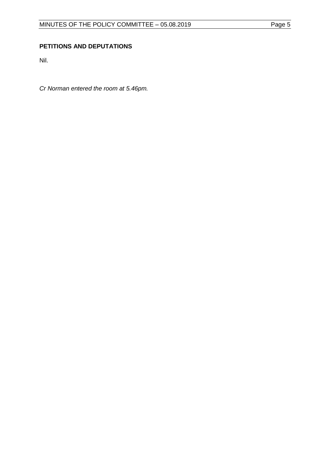#### <span id="page-4-0"></span>**PETITIONS AND DEPUTATIONS**

Nil.

*Cr Norman entered the room at 5.46pm.*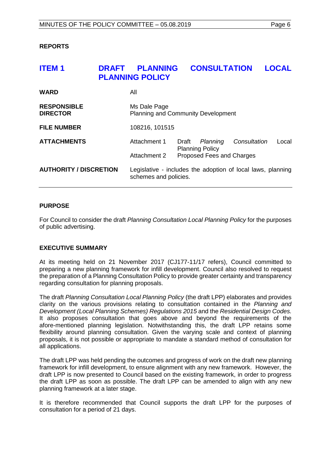#### <span id="page-5-0"></span>**REPORTS**

# <span id="page-5-1"></span>**ITEM 1 DRAFT PLANNING CONSULTATION LOCAL PLANNING POLICY WARD** All **RESPONSIBLE** Ms Dale Page<br> **DIRECTOR** Planning and C **Planning and Community Development FILE NUMBER** 108216, 101515 **ATTACHMENTS** Attachment 1 Draft *Planning Consultation* Local Planning Policy Attachment 2 Proposed Fees and Charges **AUTHORITY / DISCRETION** Legislative - includes the adoption of local laws, planning schemes and policies.

#### **PURPOSE**

For Council to consider the draft *Planning Consultation Local Planning Policy* for the purposes of public advertising.

#### **EXECUTIVE SUMMARY**

At its meeting held on 21 November 2017 (CJ177-11/17 refers), Council committed to preparing a new planning framework for infill development. Council also resolved to request the preparation of a Planning Consultation Policy to provide greater certainty and transparency regarding consultation for planning proposals.

The draft *Planning Consultation Local Planning Policy* (the draft LPP) elaborates and provides clarity on the various provisions relating to consultation contained in the *Planning and Development (Local Planning Schemes) Regulations 2015* and the *Residential Design Codes.*  It also proposes consultation that goes above and beyond the requirements of the afore-mentioned planning legislation. Notwithstanding this, the draft LPP retains some flexibility around planning consultation. Given the varying scale and context of planning proposals, it is not possible or appropriate to mandate a standard method of consultation for all applications.

The draft LPP was held pending the outcomes and progress of work on the draft new planning framework for infill development, to ensure alignment with any new framework. However, the draft LPP is now presented to Council based on the existing framework, in order to progress the draft LPP as soon as possible. The draft LPP can be amended to align with any new planning framework at a later stage.

It is therefore recommended that Council supports the draft LPP for the purposes of consultation for a period of 21 days.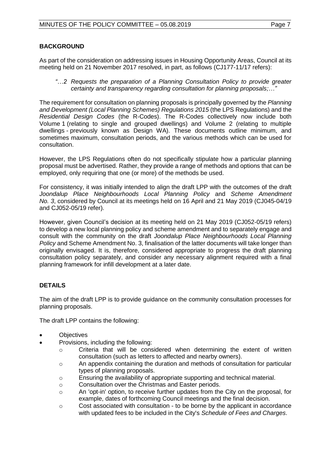#### **BACKGROUND**

As part of the consideration on addressing issues in Housing Opportunity Areas, Council at its meeting held on 21 November 2017 resolved, in part, as follows (CJ177-11/17 refers):

*"…2 Requests the preparation of a Planning Consultation Policy to provide greater certainty and transparency regarding consultation for planning proposals;…"*

The requirement for consultation on planning proposals is principally governed by the *Planning and Development (Local Planning Schemes) Regulations 2015* (the LPS Regulations) and the *Residential Design Codes* (the R-Codes). The R-Codes collectively now include both Volume 1 (relating to single and grouped dwellings) and Volume 2 (relating to multiple dwellings - previously known as Design WA). These documents outline minimum, and sometimes maximum, consultation periods, and the various methods which can be used for consultation.

However, the LPS Regulations often do not specifically stipulate how a particular planning proposal must be advertised. Rather, they provide a range of methods and options that can be employed, only requiring that one (or more) of the methods be used.

For consistency, it was initially intended to align the draft LPP with the outcomes of the draft *Joondalup Place Neighbourhoods Local Planning Policy* and *Scheme Amendment No. 3*, considered by Council at its meetings held on 16 April and 21 May 2019 (CJ045-04/19 and CJ052-05/19 refer).

However, given Council's decision at its meeting held on 21 May 2019 (CJ052-05/19 refers) to develop a new local planning policy and scheme amendment and to separately engage and consult with the community on the draft *Joondalup Place Neighbourhoods Local Planning Policy* and Scheme Amendment No. 3, finalisation of the latter documents will take longer than originally envisaged. It is, therefore, considered appropriate to progress the draft planning consultation policy separately, and consider any necessary alignment required with a final planning framework for infill development at a later date.

#### **DETAILS**

The aim of the draft LPP is to provide guidance on the community consultation processes for planning proposals.

The draft LPP contains the following:

- **Objectives**
- Provisions, including the following:
	- $\circ$  Criteria that will be considered when determining the extent of written consultation (such as letters to affected and nearby owners).
	- o An appendix containing the duration and methods of consultation for particular types of planning proposals.
	- o Ensuring the availability of appropriate supporting and technical material.
	- o Consultation over the Christmas and Easter periods.
	- o An 'opt-in' option, to receive further updates from the City on the proposal, for example, dates of forthcoming Council meetings and the final decision.
	- $\circ$  Cost associated with consultation to be borne by the applicant in accordance with updated fees to be included in the City's *Schedule of Fees and Charges*.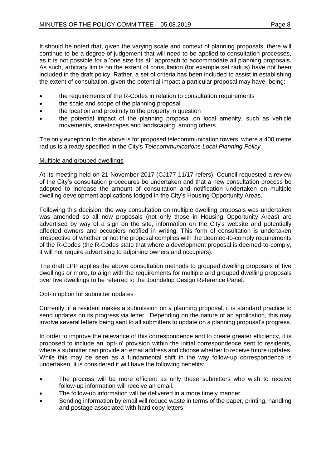It should be noted that, given the varying scale and context of planning proposals, there will continue to be a degree of judgement that will need to be applied to consultation processes, as it is not possible for a 'one size fits all' approach to accommodate all planning proposals. As such, arbitrary limits on the extent of consultation (for example set radius) have not been included in the draft policy. Rather, a set of criteria has been included to assist in establishing the extent of consultation, given the potential impact a particular proposal may have, being:

- the requirements of the R-Codes in relation to consultation requirements
- the scale and scope of the planning proposal
- the location and proximity to the property in question
- the potential impact of the planning proposal on local amenity, such as vehicle movements, streetscapes and landscaping, among others.

The only exception to the above is for proposed telecommunication towers, where a 400 metre radius is already specified in the City's *Telecommunications Local Planning Policy.*

#### Multiple and grouped dwellings

At its meeting held on 21 November 2017 (CJ177-11/17 refers), Council requested a review of the City's consultation procedures be undertaken and that a new consultation process be adopted to increase the amount of consultation and notification undertaken on multiple dwelling development applications lodged in the City's Housing Opportunity Areas.

Following this decision, the way consultation on multiple dwelling proposals was undertaken was amended so all new proposals (not only those in Housing Opportunity Areas) are advertised by way of a sign on the site, information on the City's website and potentially affected owners and occupiers notified in writing. This form of consultation is undertaken irrespective of whether or not the proposal complies with the deemed-to-comply requirements of the R-Codes (the R-Codes state that where a development proposal is deemed-to-comply, it will not require advertising to adjoining owners and occupiers).

The draft LPP applies the above consultation methods to grouped dwelling proposals of five dwellings or more, to align with the requirements for multiple and grouped dwelling proposals over five dwellings to be referred to the Joondalup Design Reference Panel.

#### Opt-in option for submitter updates

Currently, if a resident makes a submission on a planning proposal, it is standard practice to send updates on its progress via letter. Depending on the nature of an application, this may involve several letters being sent to all submitters to update on a planning proposal's progress.

In order to improve the relevance of this correspondence and to create greater efficiency, it is proposed to include an 'opt-in' provision within the initial correspondence sent to residents, where a submitter can provide an email address and choose whether to receive future updates. While this may be seen as a fundamental shift in the way follow-up correspondence is undertaken, it is considered it will have the following benefits:

- The process will be more efficient as only those submitters who wish to receive follow-up information will receive an email.
- The follow-up information will be delivered in a more timely manner.
- Sending information by email will reduce waste in terms of the paper, printing, handling and postage associated with hard copy letters.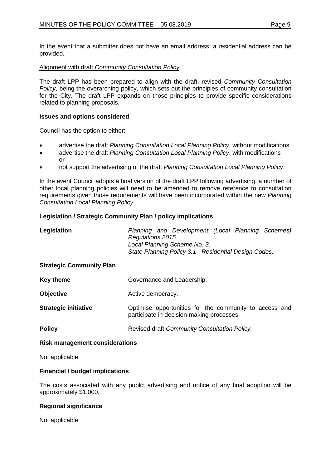In the event that a submitter does not have an email address, a residential address can be provided.

#### Alignment with draft *Community Consultation Policy*

The draft LPP has been prepared to align with the draft, revised *Community Consultation Policy*, being the overarching policy, which sets out the principles of community consultation for the City. The draft LPP expands on those principles to provide specific considerations related to planning proposals.

#### **Issues and options considered**

Council has the option to either:

- advertise the draft *Planning Consultation Local Planning Policy*, without modifications
- advertise the draft *Planning Consultation Local Planning Policy*, with modifications or
- not support the advertising of the draft *Planning Consultation Local Planning Policy*.

In the event Council adopts a final version of the draft LPP following advertising, a number of other local planning policies will need to be amended to remove reference to consultation requirements given those requirements will have been incorporated within the new *Planning Consultation Local Planning Policy.* 

#### **Legislation / Strategic Community Plan / policy implications**

| Legislation                     | Planning and Development (Local Planning Schemes)<br>Regulations 2015.<br>Local Planning Scheme No. 3.<br>State Planning Policy 3.1 - Residential Design Codes. |  |  |
|---------------------------------|-----------------------------------------------------------------------------------------------------------------------------------------------------------------|--|--|
| <b>Strategic Community Plan</b> |                                                                                                                                                                 |  |  |
| <b>Key theme</b>                | Governance and Leadership.                                                                                                                                      |  |  |
| <b>Objective</b>                | Active democracy.                                                                                                                                               |  |  |
| <b>Strategic initiative</b>     | Optimise opportunities for the community to access and<br>participate in decision-making processes.                                                             |  |  |
| <b>Policy</b>                   | Revised draft Community Consultation Policy.                                                                                                                    |  |  |

#### **Risk management considerations**

Not applicable.

#### **Financial / budget implications**

The costs associated with any public advertising and notice of any final adoption will be approximately \$1,000.

#### **Regional significance**

Not applicable.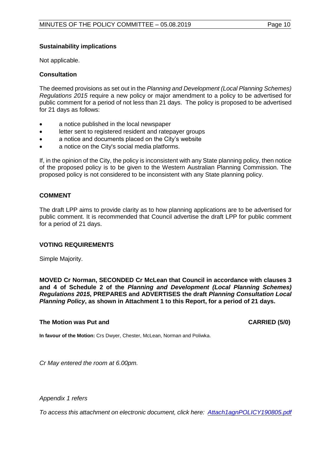#### **Sustainability implications**

Not applicable.

#### **Consultation**

The deemed provisions as set out in the *Planning and Development (Local Planning Schemes) Regulations 2015* require a new policy or major amendment to a policy to be advertised for public comment for a period of not less than 21 days. The policy is proposed to be advertised for 21 days as follows:

- a notice published in the local newspaper
- letter sent to registered resident and ratepayer groups
- a notice and documents placed on the City's website
- a notice on the City's social media platforms.

If, in the opinion of the City, the policy is inconsistent with any State planning policy, then notice of the proposed policy is to be given to the Western Australian Planning Commission. The proposed policy is not considered to be inconsistent with any State planning policy.

#### **COMMENT**

The draft LPP aims to provide clarity as to how planning applications are to be advertised for public comment. It is recommended that Council advertise the draft LPP for public comment for a period of 21 days.

#### **VOTING REQUIREMENTS**

Simple Majority.

**MOVED Cr Norman, SECONDED Cr McLean that Council in accordance with clauses 3 and 4 of Schedule 2 of the** *Planning and Development (Local Planning Schemes) Regulations 2015***, PREPARES and ADVERTISES the draft** *Planning Consultation Local Planning Policy***, as shown in Attachment 1 to this Report, for a period of 21 days.**

#### **The Motion was Put and CARRIED (5/0)**

**In favour of the Motion:** Crs Dwyer, Chester, McLean, Norman and Poliwka.

*Cr May entered the room at 6.00pm.*

*Appendix 1 refers*

*To access this attachment on electronic document, click here: [Attach1agnPOLICY190805.pdf](http://www.joondalup.wa.gov.au/files/committees/POLI/2019/Attach1agnPOLICY190805.pdf)*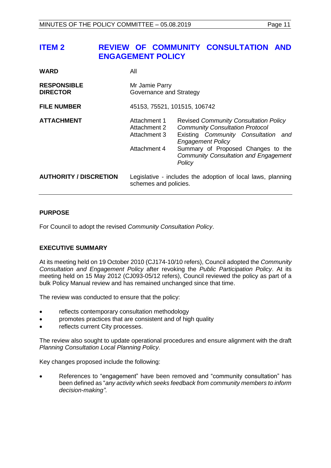## <span id="page-10-0"></span>**ITEM 2 REVIEW OF COMMUNITY CONSULTATION AND ENGAGEMENT POLICY**

| <b>WARD</b>                           | All                                                          |                                                                                                                                                                                                                                                           |  |
|---------------------------------------|--------------------------------------------------------------|-----------------------------------------------------------------------------------------------------------------------------------------------------------------------------------------------------------------------------------------------------------|--|
| <b>RESPONSIBLE</b><br><b>DIRECTOR</b> | Mr Jamie Parry<br>Governance and Strategy                    |                                                                                                                                                                                                                                                           |  |
| <b>FILE NUMBER</b>                    | 45153, 75521, 101515, 106742                                 |                                                                                                                                                                                                                                                           |  |
| <b>ATTACHMENT</b>                     | Attachment 1<br>Attachment 2<br>Attachment 3<br>Attachment 4 | <b>Revised Community Consultation Policy</b><br><b>Community Consultation Protocol</b><br>Existing Community Consultation and<br><b>Engagement Policy</b><br>Summary of Proposed Changes to the<br><b>Community Consultation and Engagement</b><br>Policy |  |
| <b>AUTHORITY / DISCRETION</b>         | schemes and policies.                                        | Legislative - includes the adoption of local laws, planning                                                                                                                                                                                               |  |

#### **PURPOSE**

For Council to adopt the revised *Community Consultation Policy*.

#### **EXECUTIVE SUMMARY**

At its meeting held on 19 October 2010 (CJ174-10/10 refers), Council adopted the *Community Consultation and Engagement Policy* after revoking the *Public Participation Policy*. At its meeting held on 15 May 2012 (CJ093-05/12 refers), Council reviewed the policy as part of a bulk Policy Manual review and has remained unchanged since that time.

The review was conducted to ensure that the policy:

- reflects contemporary consultation methodology
- promotes practices that are consistent and of high quality
- reflects current City processes.

The review also sought to update operational procedures and ensure alignment with the draft *Planning Consultation Local Planning Policy*.

Key changes proposed include the following:

• References to "engagement" have been removed and "community consultation" has been defined as "*any activity which seeks feedback from community members to inform decision-making"*.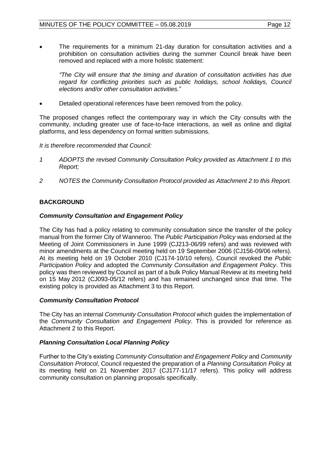• The requirements for a minimum 21-day duration for consultation activities and a prohibition on consultation activities during the summer Council break have been removed and replaced with a more holistic statement:

*"The City will ensure that the timing and duration of consultation activities has due*  regard for conflicting priorities such as public holidays, school holidays, Council *elections and/or other consultation activities.*"

• Detailed operational references have been removed from the policy.

The proposed changes reflect the contemporary way in which the City consults with the community, including greater use of face-to-face interactions, as well as online and digital platforms, and less dependency on formal written submissions.

#### *It is therefore recommended that Council:*

- *1 ADOPTS the revised Community Consultation Policy provided as Attachment 1 to this Report;*
- *2 NOTES the Community Consultation Protocol provided as Attachment 2 to this Report.*

#### **BACKGROUND**

#### *Community Consultation and Engagement Policy*

The City has had a policy relating to community consultation since the transfer of the policy manual from the former City of Wanneroo. The *Public Participation Policy* was endorsed at the Meeting of Joint Commissioners in June 1999 (CJ213-06/99 refers) and was reviewed with minor amendments at the Council meeting held on 19 September 2006 (CJ156-09/06 refers). At its meeting held on 19 October 2010 (CJ174-10/10 refers), Council revoked the *Public Participation Policy* and adopted the *Community Consultation and Engagement Policy*. This policy was then reviewed by Council as part of a bulk Policy Manual Review at its meeting held on 15 May 2012 (CJ093-05/12 refers) and has remained unchanged since that time. The existing policy is provided as Attachment 3 to this Report.

#### *Community Consultation Protocol*

The City has an internal *Community Consultation Protocol* which guides the implementation of the *Community Consultation and Engagement Policy*. This is provided for reference as Attachment 2 to this Report.

#### *Planning Consultation Local Planning Policy*

Further to the City's existing *Community Consultation and Engagement Policy* and *Community Consultation Protocol*, Council requested the preparation of a *Planning Consultation Policy* at its meeting held on 21 November 2017 (CJ177-11/17 refers). This policy will address community consultation on planning proposals specifically.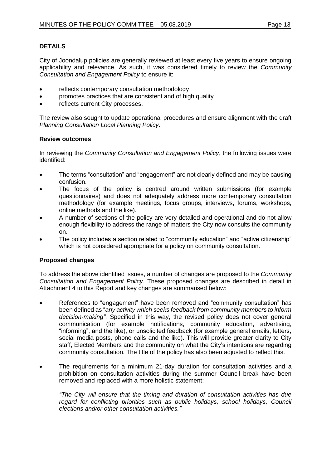#### **DETAILS**

City of Joondalup policies are generally reviewed at least every five years to ensure ongoing applicability and relevance. As such, it was considered timely to review the *Community Consultation and Engagement Policy* to ensure it:

- reflects contemporary consultation methodology
- promotes practices that are consistent and of high quality
- reflects current City processes.

The review also sought to update operational procedures and ensure alignment with the draft *Planning Consultation Local Planning Policy*.

#### **Review outcomes**

In reviewing the *Community Consultation and Engagement Policy*, the following issues were identified:

- The terms "consultation" and "engagement" are not clearly defined and may be causing confusion.
- The focus of the policy is centred around written submissions (for example questionnaires) and does not adequately address more contemporary consultation methodology (for example meetings, focus groups, interviews, forums, workshops, online methods and the like).
- A number of sections of the policy are very detailed and operational and do not allow enough flexibility to address the range of matters the City now consults the community on.
- The policy includes a section related to "community education" and "active citizenship" which is not considered appropriate for a policy on community consultation.

#### **Proposed changes**

To address the above identified issues, a number of changes are proposed to the *Community Consultation and Engagement Policy*. These proposed changes are described in detail in Attachment 4 to this Report and key changes are summarised below:

- References to "engagement" have been removed and "community consultation" has been defined as "*any activity which seeks feedback from community members to inform decision-making"*. Specified in this way, the revised policy does not cover general communication (for example notifications, community education, advertising, "informing", and the like), or unsolicited feedback (for example general emails, letters, social media posts, phone calls and the like). This will provide greater clarity to City staff, Elected Members and the community on what the City's intentions are regarding community consultation. The title of the policy has also been adjusted to reflect this.
- The requirements for a minimum 21-day duration for consultation activities and a prohibition on consultation activities during the summer Council break have been removed and replaced with a more holistic statement:

*"The City will ensure that the timing and duration of consultation activities has due regard for conflicting priorities such as public holidays, school holidays, Council elections and/or other consultation activities."*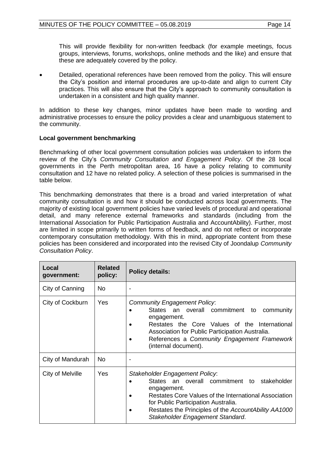This will provide flexibility for non-written feedback (for example meetings, focus groups, interviews, forums, workshops, online methods and the like) and ensure that these are adequately covered by the policy.

• Detailed, operational references have been removed from the policy. This will ensure the City's position and internal procedures are up-to-date and align to current City practices. This will also ensure that the City's approach to community consultation is undertaken in a consistent and high quality manner.

In addition to these key changes, minor updates have been made to wording and administrative processes to ensure the policy provides a clear and unambiguous statement to the community.

#### **Local government benchmarking**

Benchmarking of other local government consultation policies was undertaken to inform the review of the City's *Community Consultation and Engagement Policy*. Of the 28 local governments in the Perth metropolitan area, 16 have a policy relating to community consultation and 12 have no related policy. A selection of these policies is summarised in the table below.

This benchmarking demonstrates that there is a broad and varied interpretation of what community consultation is and how it should be conducted across local governments. The majority of existing local government policies have varied levels of procedural and operational detail, and many reference external frameworks and standards (including from the International Association for Public Participation Australia and AccountAbility). Further, most are limited in scope primarily to written forms of feedback, and do not reflect or incorporate contemporary consultation methodology. With this in mind, appropriate content from these policies has been considered and incorporated into the revised City of Joondalup *Community Consultation Policy*.

| Local<br>government: | <b>Related</b><br>policy: | <b>Policy details:</b>                                                                                                                                                                                                                                                                      |  |
|----------------------|---------------------------|---------------------------------------------------------------------------------------------------------------------------------------------------------------------------------------------------------------------------------------------------------------------------------------------|--|
| City of Canning      | No.                       |                                                                                                                                                                                                                                                                                             |  |
| City of Cockburn     | Yes                       | <b>Community Engagement Policy:</b><br>States an overall commitment<br>community<br>to<br>engagement.<br>Restates the Core Values of the International<br>Association for Public Participation Australia.<br>References a Community Engagement Framework<br>(internal document).            |  |
| City of Mandurah     | <b>No</b>                 | ٠                                                                                                                                                                                                                                                                                           |  |
| City of Melville     | Yes                       | Stakeholder Engagement Policy.<br>States an overall commitment to<br>stakeholder<br>engagement.<br>Restates Core Values of the International Association<br>for Public Participation Australia.<br>Restates the Principles of the AccountAbility AA1000<br>Stakeholder Engagement Standard. |  |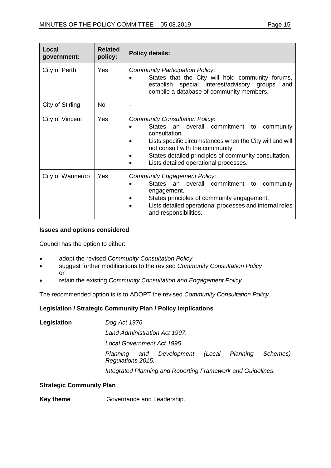| Local<br>government: | <b>Related</b><br>policy: | <b>Policy details:</b>                                                                                                                                                                                                                                                                                     |  |
|----------------------|---------------------------|------------------------------------------------------------------------------------------------------------------------------------------------------------------------------------------------------------------------------------------------------------------------------------------------------------|--|
| City of Perth        | Yes                       | <b>Community Participation Policy:</b><br>States that the City will hold community forums,<br>establish special interest/advisory groups<br>and<br>compile a database of community members.                                                                                                                |  |
| City of Stirling     | No.                       | $\overline{\phantom{a}}$                                                                                                                                                                                                                                                                                   |  |
| City of Vincent      | Yes                       | <b>Community Consultation Policy:</b><br>States an overall commitment<br>community<br>to<br>consultation.<br>Lists specific circumstances when the City will and will<br>not consult with the community.<br>States detailed principles of community consultation.<br>Lists detailed operational processes. |  |
| City of Wanneroo     | Yes                       | <b>Community Engagement Policy.</b><br>States an overall commitment to<br>community<br>engagement.<br>States principles of community engagement.<br>Lists detailed operational processes and internal roles<br>and responsibilities.                                                                       |  |

#### **Issues and options considered**

Council has the option to either:

- adopt the revised *Community Consultation Policy*
- suggest further modifications to the revised *Community Consultation Policy* or
- retain the existing *Community Consultation and Engagement Policy*.

The recommended option is is to ADOPT the revised *Community Consultation Policy*.

#### **Legislation / Strategic Community Plan / Policy implications**

| Legislation | Dog Act 1976.                 |                                                             |  |  |          |
|-------------|-------------------------------|-------------------------------------------------------------|--|--|----------|
|             | Land Administration Act 1997. |                                                             |  |  |          |
|             | Local Government Act 1995.    |                                                             |  |  |          |
|             | Regulations 2015.             | Planning and Development (Local Planning                    |  |  | Schemes) |
|             |                               | Integrated Planning and Reporting Framework and Guidelines. |  |  |          |

#### **Strategic Community Plan**

**Key theme Governance and Leadership.**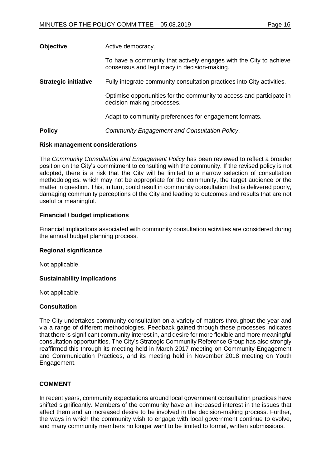| <b>Objective</b>            | Active democracy.                                                                                                  |
|-----------------------------|--------------------------------------------------------------------------------------------------------------------|
|                             | To have a community that actively engages with the City to achieve<br>consensus and legitimacy in decision-making. |
| <b>Strategic initiative</b> | Fully integrate community consultation practices into City activities.                                             |
|                             | Optimise opportunities for the community to access and participate in<br>decision-making processes.                |
|                             | Adapt to community preferences for engagement formats.                                                             |
| <b>Policy</b>               | <b>Community Engagement and Consultation Policy.</b>                                                               |

#### **Risk management considerations**

The *Community Consultation and Engagement Policy* has been reviewed to reflect a broader position on the City's commitment to consulting with the community. If the revised policy is not adopted, there is a risk that the City will be limited to a narrow selection of consultation methodologies, which may not be appropriate for the community, the target audience or the matter in question. This, in turn, could result in community consultation that is delivered poorly, damaging community perceptions of the City and leading to outcomes and results that are not useful or meaningful.

#### **Financial / budget implications**

Financial implications associated with community consultation activities are considered during the annual budget planning process.

#### **Regional significance**

Not applicable.

#### **Sustainability implications**

Not applicable.

#### **Consultation**

The City undertakes community consultation on a variety of matters throughout the year and via a range of different methodologies. Feedback gained through these processes indicates that there is significant community interest in, and desire for more flexible and more meaningful consultation opportunities. The City's Strategic Community Reference Group has also strongly reaffirmed this through its meeting held in March 2017 meeting on Community Engagement and Communication Practices, and its meeting held in November 2018 meeting on Youth Engagement.

#### **COMMENT**

In recent years, community expectations around local government consultation practices have shifted significantly. Members of the community have an increased interest in the issues that affect them and an increased desire to be involved in the decision-making process. Further, the ways in which the community wish to engage with local government continue to evolve, and many community members no longer want to be limited to formal, written submissions.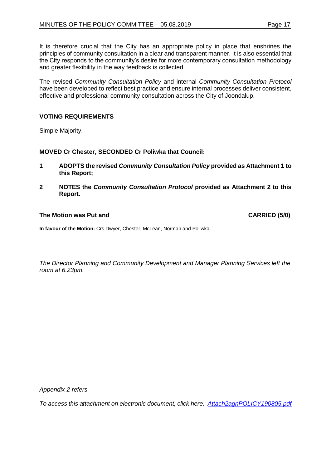It is therefore crucial that the City has an appropriate policy in place that enshrines the principles of community consultation in a clear and transparent manner. It is also essential that the City responds to the community's desire for more contemporary consultation methodology and greater flexibility in the way feedback is collected.

The revised *Community Consultation Policy* and internal *Community Consultation Protocol* have been developed to reflect best practice and ensure internal processes deliver consistent, effective and professional community consultation across the City of Joondalup.

### **VOTING REQUIREMENTS**

Simple Majority.

**MOVED Cr Chester, SECONDED Cr Poliwka that Council:**

- **1 ADOPTS the revised** *Community Consultation Policy* **provided as Attachment 1 to this Report;**
- **2 NOTES the** *Community Consultation Protocol* **provided as Attachment 2 to this Report.**

#### **The Motion was Put and CARRIED (5/0)**

**In favour of the Motion:** Crs Dwyer, Chester, McLean, Norman and Poliwka.

*The Director Planning and Community Development and Manager Planning Services left the room at 6.23pm.*

*Appendix 2 refers*

*To access this attachment on electronic document, click here: [Attach2agnPOLICY190805.pdf](http://www.joondalup.wa.gov.au/files/committees/POLI/2019/Attach2agnPOLICY190805.pdf)*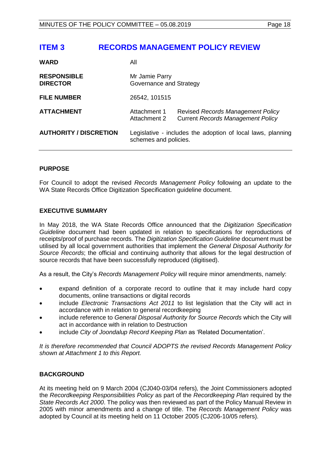## <span id="page-17-0"></span>**ITEM 3 RECORDS MANAGEMENT POLICY REVIEW**

| <b>WARD</b>                           | All                                                                                  |                                                                               |
|---------------------------------------|--------------------------------------------------------------------------------------|-------------------------------------------------------------------------------|
| <b>RESPONSIBLE</b><br><b>DIRECTOR</b> | Mr Jamie Parry<br>Governance and Strategy                                            |                                                                               |
| <b>FILE NUMBER</b>                    | 26542, 101515                                                                        |                                                                               |
| <b>ATTACHMENT</b>                     | Attachment 1<br>Attachment 2                                                         | Revised Records Management Policy<br><b>Current Records Management Policy</b> |
| <b>AUTHORITY / DISCRETION</b>         | Legislative - includes the adoption of local laws, planning<br>schemes and policies. |                                                                               |

#### **PURPOSE**

For Council to adopt the revised *Records Management Policy* following an update to the WA State Records Office Digitization Specification guideline document.

#### **EXECUTIVE SUMMARY**

In May 2018, the WA State Records Office announced that the *Digitization Specification Guideline* document had been updated in relation to specifications for reproductions of receipts/proof of purchase records. The *Digitization Specification Guideline* document must be utilised by all local government authorities that implement the *General Disposal Authority for Source Records*; the official and continuing authority that allows for the legal destruction of source records that have been successfully reproduced (digitised).

As a result, the City's *Records Management Policy* will require minor amendments, namely:

- expand definition of a corporate record to outline that it may include hard copy documents, online transactions or digital records
- include *Electronic Transactions Act 2011* to list legislation that the City will act in accordance with in relation to general recordkeeping
- include reference to *General Disposal Authority for Source Records* which the City will act in accordance with in relation to Destruction
- include *City of Joondalup Record Keeping Plan* as 'Related Documentation'.

*It is therefore recommended that Council ADOPTS the revised Records Management Policy shown at Attachment 1 to this Report.*

#### **BACKGROUND**

At its meeting held on 9 March 2004 (CJ040-03/04 refers)*,* the Joint Commissioners adopted the *Recordkeeping Responsibilities Policy* as part of the *Recordkeeping Plan* required by the *State Records Act 2000*. The policy was then reviewed as part of the Policy Manual Review in 2005 with minor amendments and a change of title. The *Records Management Policy* was adopted by Council at its meeting held on 11 October 2005 (CJ206-10/05 refers).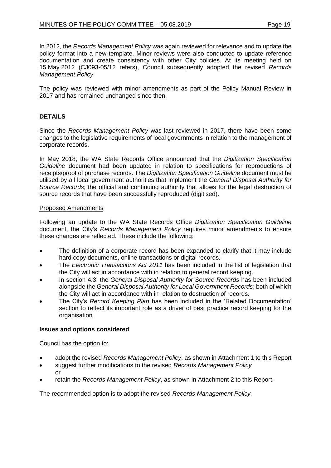In 2012, the *Records Management Policy* was again reviewed for relevance and to update the policy format into a new template. Minor reviews were also conducted to update reference documentation and create consistency with other City policies. At its meeting held on 15 May 2012 (CJ093-05/12 refers), Council subsequently adopted the revised *Records Management Policy*.

The policy was reviewed with minor amendments as part of the Policy Manual Review in 2017 and has remained unchanged since then.

### **DETAILS**

Since the *Records Management Policy* was last reviewed in 2017, there have been some changes to the legislative requirements of local governments in relation to the management of corporate records.

In May 2018, the WA State Records Office announced that the *Digitization Specification Guideline* document had been updated in relation to specifications for reproductions of receipts/proof of purchase records. The *Digitization Specification Guideline* document must be utilised by all local government authorities that implement the *General Disposal Authority for Source Records*; the official and continuing authority that allows for the legal destruction of source records that have been successfully reproduced (digitised).

#### Proposed Amendments

Following an update to the WA State Records Office *Digitization Specification Guideline* document, the City's *Records Management Policy* requires minor amendments to ensure these changes are reflected. These include the following:

- The definition of a corporate record has been expanded to clarify that it may include hard copy documents, online transactions or digital records.
- The *Electronic Transactions Act 2011* has been included in the list of legislation that the City will act in accordance with in relation to general record keeping.
- In section 4.3, the *General Disposal Authority for Source Records* has been included alongside the *General Disposal Authority for Local Government Records*; both of which the City will act in accordance with in relation to destruction of records.
- The City's *Record Keeping Plan* has been included in the 'Related Documentation' section to reflect its important role as a driver of best practice record keeping for the organisation.

#### **Issues and options considered**

Council has the option to:

- adopt the revised *Records Management Policy*, as shown in Attachment 1 to this Report
- suggest further modifications to the revised *Records Management Policy* or
- retain the *Records Management Policy*, as shown in Attachment 2 to this Report.

The recommended option is to adopt the revised *Records Management Policy.*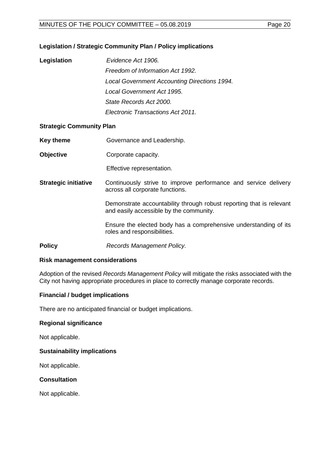#### **Legislation / Strategic Community Plan / Policy implications**

| Legislation | Evidence Act 1906.                           |
|-------------|----------------------------------------------|
|             | Freedom of Information Act 1992.             |
|             | Local Government Accounting Directions 1994. |
|             | Local Government Act 1995.                   |
|             | State Records Act 2000.                      |
|             | Electronic Transactions Act 2011.            |

#### **Strategic Community Plan**

- **Key theme Governance and Leadership.**
- **Objective Corporate capacity.**

Effective representation.

**Strategic initiative** Continuously strive to improve performance and service delivery across all corporate functions.

> Demonstrate accountability through robust reporting that is relevant and easily accessible by the community.

> Ensure the elected body has a comprehensive understanding of its roles and responsibilities.

**Policy** *Records Management Policy.* 

#### **Risk management considerations**

Adoption of the revised *Records Management Policy* will mitigate the risks associated with the City not having appropriate procedures in place to correctly manage corporate records.

#### **Financial / budget implications**

There are no anticipated financial or budget implications.

#### **Regional significance**

Not applicable.

#### **Sustainability implications**

Not applicable.

#### **Consultation**

Not applicable.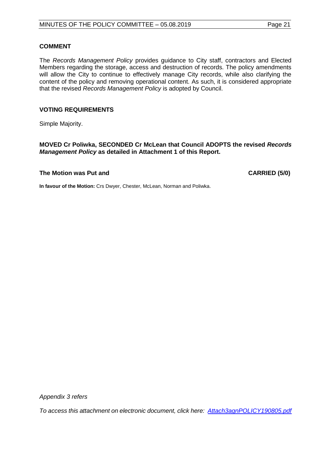#### **COMMENT**

The *Records Management Policy* provides guidance to City staff, contractors and Elected Members regarding the storage, access and destruction of records. The policy amendments will allow the City to continue to effectively manage City records, while also clarifying the content of the policy and removing operational content. As such, it is considered appropriate that the revised *Records Management Policy* is adopted by Council.

#### **VOTING REQUIREMENTS**

Simple Majority.

**MOVED Cr Poliwka, SECONDED Cr McLean that Council ADOPTS the revised** *Records Management Policy* **as detailed in Attachment 1 of this Report.**

#### **The Motion was Put and CARRIED (5/0)**

**In favour of the Motion:** Crs Dwyer, Chester, McLean, Norman and Poliwka.

*Appendix 3 refers*

*To access this attachment on electronic document, click here: [Attach3agnPOLICY190805.pdf](http://www.joondalup.wa.gov.au/files/committees/POLI/2019/Attach3agnPOLICY190805.pdf)*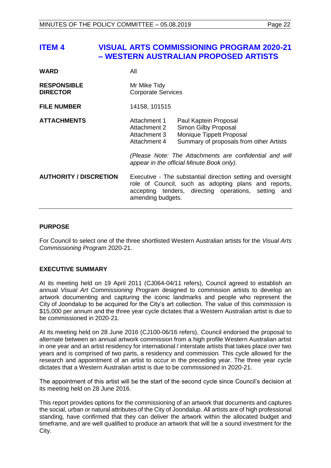## <span id="page-21-0"></span>**ITEM 4 VISUAL ARTS COMMISSIONING PROGRAM 2020-21 – WESTERN AUSTRALIAN PROPOSED ARTISTS**

| WARD                                  | All                                                          |                                                                                                                                                                                                                              |  |
|---------------------------------------|--------------------------------------------------------------|------------------------------------------------------------------------------------------------------------------------------------------------------------------------------------------------------------------------------|--|
| <b>RESPONSIBLE</b><br><b>DIRECTOR</b> | Mr Mike Tidy<br><b>Corporate Services</b>                    |                                                                                                                                                                                                                              |  |
| <b>FILE NUMBER</b>                    | 14158, 101515                                                |                                                                                                                                                                                                                              |  |
| <b>ATTACHMENTS</b>                    | Attachment 1<br>Attachment 2<br>Attachment 3<br>Attachment 4 | Paul Kaptein Proposal<br>Simon Gilby Proposal<br>Monique Tippett Proposal<br>Summary of proposals from other Artists<br>(Please Note: The Attachments are confidential and will<br>appear in the official Minute Book only). |  |
| <b>AUTHORITY / DISCRETION</b>         | amending budgets.                                            | Executive - The substantial direction setting and oversight<br>role of Council, such as adopting plans and reports,<br>accepting tenders, directing operations, setting and                                                  |  |

#### **PURPOSE**

For Council to select one of the three shortlisted Western Australian artists for the *Visual Arts Commissioning Program* 2020-21.

#### **EXECUTIVE SUMMARY**

At its meeting held on 19 April 2011 (CJ064-04/11 refers), Council agreed to establish an annual *Visual Art Commissioning Program* designed to commission artists to develop an artwork documenting and capturing the iconic landmarks and people who represent the City of Joondalup to be acquired for the City's art collection. The value of this commission is \$15,000 per annum and the three year cycle dictates that a Western Australian artist is due to be commissioned in 2020-21.

At its meeting held on 28 June 2016 (CJ100-06/16 refers), Council endorsed the proposal to alternate between an annual artwork commission from a high profile Western Australian artist in one year and an artist residency for international / interstate artists that takes place over two years and is comprised of two parts, a residency and commission. This cycle allowed for the research and appointment of an artist to occur in the preceding year. The three year cycle dictates that a Western Australian artist is due to be commissioned in 2020-21.

The appointment of this artist will be the start of the second cycle since Council's decision at its meeting held on 28 June 2016.

This report provides options for the commissioning of an artwork that documents and captures the social, urban or natural attributes of the City of Joondalup. All artists are of high professional standing, have confirmed that they can deliver the artwork within the allocated budget and timeframe, and are well qualified to produce an artwork that will be a sound investment for the City.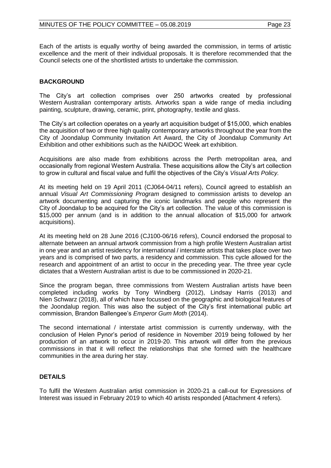Each of the artists is equally worthy of being awarded the commission, in terms of artistic excellence and the merit of their individual proposals. It is therefore recommended that the Council selects one of the shortlisted artists to undertake the commission.

#### **BACKGROUND**

The City's art collection comprises over 250 artworks created by professional Western Australian contemporary artists. Artworks span a wide range of media including painting, sculpture, drawing, ceramic, print, photography, textile and glass.

The City's art collection operates on a yearly art acquisition budget of \$15,000, which enables the acquisition of two or three high quality contemporary artworks throughout the year from the City of Joondalup Community Invitation Art Award, the City of Joondalup Community Art Exhibition and other exhibitions such as the NAIDOC Week art exhibition.

Acquisitions are also made from exhibitions across the Perth metropolitan area, and occasionally from regional Western Australia. These acquisitions allow the City's art collection to grow in cultural and fiscal value and fulfil the objectives of the City's *Visual Arts Policy.*

At its meeting held on 19 April 2011 (CJ064-04/11 refers), Council agreed to establish an annual *Visual Art Commissioning Program* designed to commission artists to develop an artwork documenting and capturing the iconic landmarks and people who represent the City of Joondalup to be acquired for the City's art collection. The value of this commission is \$15,000 per annum (and is in addition to the annual allocation of \$15,000 for artwork acquisitions).

At its meeting held on 28 June 2016 (CJ100-06/16 refers), Council endorsed the proposal to alternate between an annual artwork commission from a high profile Western Australian artist in one year and an artist residency for international / interstate artists that takes place over two years and is comprised of two parts, a residency and commission. This cycle allowed for the research and appointment of an artist to occur in the preceding year. The three year cycle dictates that a Western Australian artist is due to be commissioned in 2020-21.

Since the program began, three commissions from Western Australian artists have been completed including works by Tony Windberg (2012), Lindsay Harris (2013) and Nien Schwarz (2018), all of which have focussed on the geographic and biological features of the Joondalup region. This was also the subject of the City's first international public art commission, Brandon Ballengee's *Emperor Gum Moth* (2014).

The second international / interstate artist commission is currently underway, with the conclusion of Helen Pynor's period of residence in November 2019 being followed by her production of an artwork to occur in 2019-20. This artwork will differ from the previous commissions in that it will reflect the relationships that she formed with the healthcare communities in the area during her stay.

#### **DETAILS**

To fulfil the Western Australian artist commission in 2020-21 a call-out for Expressions of Interest was issued in February 2019 to which 40 artists responded (Attachment 4 refers).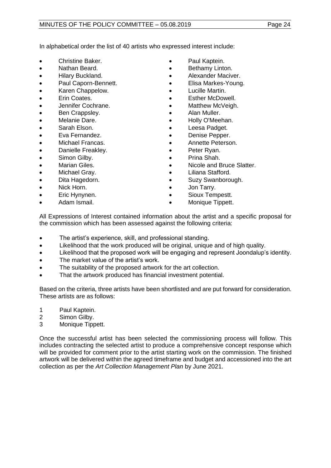In alphabetical order the list of 40 artists who expressed interest include:

- 
- 
- Hilary Buckland. Alexander Maciver.
- Paul Caporn-Bennett. Elisa Markes-Young.
- Karen Chappelow. Lucille Martin.
- 
- Jennifer Cochrane. Matthew McVeigh.
- Ben Crappsley. Alan Muller.
- 
- 
- 
- Michael Francas. Annette Peterson.
- Danielle Freakley. Peter Ryan.
- $\bullet$  Simon Gilby.
- 
- 
- 
- 
- 
- 
- **Christine Baker. Paul Kaptein.**
- Nathan Beard. Bethamy Linton.
	-
	-
	-
- Erin Coates. Esther McDowell.
	-
	-
- Melanie Dare. Holly O'Meehan.
- Sarah Elson. Leesa Padget.
	- **Eva Fernandez. Comparison Pepper. Comparison Pepper.** 
		-
		-
		-
	- Marian Giles.  **Container According Container •** Nicole and Bruce Slatter.
- Michael Gray.  **Community Community Cli**liana Stafford.
- Dita Hagedorn. Suzy Swanborough.
- Nick Horn. Jon Tarry.
- Eric Hynynen. Sioux Tempestt.
	- Adam Ismail. **Adam Ismail. Monique Tippett.**

All Expressions of Interest contained information about the artist and a specific proposal for the commission which has been assessed against the following criteria:

- The artist's experience, skill, and professional standing.
- Likelihood that the work produced will be original, unique and of high quality.
- Likelihood that the proposed work will be engaging and represent Joondalup's identity.
- The market value of the artist's work.
- The suitability of the proposed artwork for the art collection.
- That the artwork produced has financial investment potential.

Based on the criteria, three artists have been shortlisted and are put forward for consideration. These artists are as follows:

- 1 Paul Kaptein.
- 2 Simon Gilby.
- 3 Monique Tippett.

Once the successful artist has been selected the commissioning process will follow. This includes contracting the selected artist to produce a comprehensive concept response which will be provided for comment prior to the artist starting work on the commission. The finished artwork will be delivered within the agreed timeframe and budget and accessioned into the art collection as per the *Art Collection Management Plan* by June 2021.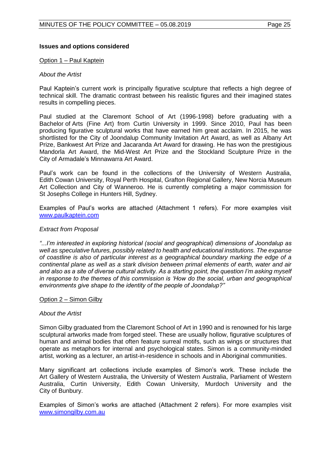#### **Issues and options considered**

#### Option 1 – Paul Kaptein

#### *About the Artist*

Paul Kaptein's current work is principally figurative sculpture that reflects a high degree of technical skill. The dramatic contrast between his realistic figures and their imagined states results in compelling pieces.

Paul studied at the Claremont School of Art (1996-1998) before graduating with a Bachelor of Arts (Fine Art) from Curtin University in 1999. Since 2010, Paul has been producing figurative sculptural works that have earned him great acclaim. In 2015, he was shortlisted for the City of Joondalup Community Invitation Art Award, as well as Albany Art Prize, Bankwest Art Prize and Jacaranda Art Award for drawing. He has won the prestigious Mandorla Art Award, the Mid-West Art Prize and the Stockland Sculpture Prize in the City of Armadale's Minnawarra Art Award.

Paul's work can be found in the collections of the University of Western Australia, Edith Cowan University, Royal Perth Hospital, Grafton Regional Gallery, New Norcia Museum Art Collection and City of Wanneroo. He is currently completing a major commission for St Josephs College in Hunters Hill, Sydney.

Examples of Paul's works are attached (Attachment 1 refers). For more examples visit [www.paulkaptein.com](http://www.paulkaptein.com/)

#### *Extract from Proposal*

*"...I'm interested in exploring historical (social and geographical) dimensions of Joondalup as well as speculative futures, possibly related to health and educational institutions. The expanse of coastline is also of particular interest as a geographical boundary marking the edge of a continental plane as well as a stark division between primal elements of earth, water and air and also as a site of diverse cultural activity. As a starting point, the question I'm asking myself in response to the themes of this commission is 'How do the social, urban and geographical environments give shape to the identity of the people of Joondalup?"*

#### Option 2 – Simon Gilby

#### *About the Artist*

Simon Gilby graduated from the Claremont School of Art in 1990 and is renowned for his large sculptural artworks made from forged steel. These are usually hollow, figurative sculptures of human and animal bodies that often feature surreal motifs, such as wings or structures that operate as metaphors for internal and psychological states. Simon is a community-minded artist, working as a lecturer, an artist-in-residence in schools and in Aboriginal communities.

Many significant art collections include examples of Simon's work. These include the Art Gallery of Western Australia, the University of Western Australia, Parliament of Western Australia, Curtin University, Edith Cowan University, Murdoch University and the City of Bunbury.

Examples of Simon's works are attached (Attachment 2 refers). For more examples visit [www.simongilby.com.au](http://www.simongilby.com.au/)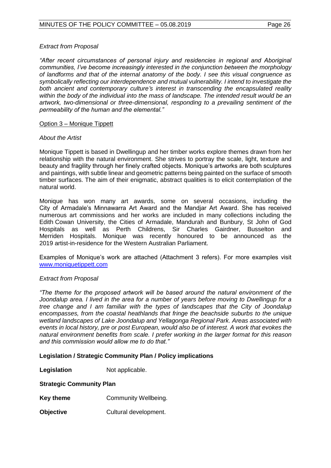#### *Extract from Proposal*

*"After recent circumstances of personal injury and residencies in regional and Aboriginal communities, I've become increasingly interested in the conjunction between the morphology of landforms and that of the internal anatomy of the body. I see this visual congruence as symbolically reflecting our interdependence and mutual vulnerability. I intend to investigate the both ancient and contemporary culture's interest in transcending the encapsulated reality within the body of the individual into the mass of landscape. The intended result would be an artwork, two-dimensional or three-dimensional, responding to a prevailing sentiment of the permeability of the human and the elemental."*

#### Option 3 – Monique Tippett

#### *About the Artist*

Monique Tippett is based in Dwellingup and her timber works explore themes drawn from her relationship with the natural environment. She strives to portray the scale, light, texture and beauty and fragility through her finely crafted objects. Monique's artworks are both sculptures and paintings, with subtle linear and geometric patterns being painted on the surface of smooth timber surfaces. The aim of their enigmatic, abstract qualities is to elicit contemplation of the natural world.

Monique has won many art awards, some on several occasions, including the City of Armadale's Minnawarra Art Award and the Mandjar Art Award. She has received numerous art commissions and her works are included in many collections including the Edith Cowan University, the Cities of Armadale, Mandurah and Bunbury, St John of God Hospitals as well as Perth Childrens, Sir Charles Gairdner, Busselton and Merriden Hospitals. Monique was recently honoured to be announced as the 2019 artist-in-residence for the Western Australian Parliament.

Examples of Monique's work are attached (Attachment 3 refers). For more examples visit [www.moniquetippett.com](http://www.moniquetippett.com/)

#### *Extract from Proposal*

*"The theme for the proposed artwork will be based around the natural environment of the*  Joondalup area. I lived in the area for a number of years before moving to Dwellingup for a *tree change and I am familiar with the types of landscapes that the City of Joondalup encompasses, from the coastal heathlands that fringe the beachside suburbs to the unique wetland landscapes of Lake Joondalup and Yellagonga Regional Park. Areas associated with events in local history, pre or post European, would also be of interest. A work that evokes the natural environment benefits from scale. I prefer working in the larger format for this reason and this commission would allow me to do that."*

#### **Legislation / Strategic Community Plan / Policy implications**

**Legislation** Not applicable.

#### **Strategic Community Plan**

- **Key theme Community Wellbeing.**
- **Objective** Cultural development.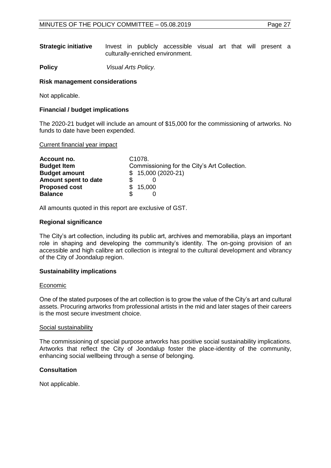| <b>Strategic initiative</b> |  | Invest in publicly accessible visual art that will present a |  |  |  |
|-----------------------------|--|--------------------------------------------------------------|--|--|--|
|                             |  | culturally-enriched environment.                             |  |  |  |

**Policy** *Visual Arts Policy.*

#### **Risk management considerations**

Not applicable.

#### **Financial / budget implications**

The 2020-21 budget will include an amount of \$15,000 for the commissioning of artworks. No funds to date have been expended.

Current financial year impact

| Account no.          | C <sub>1078</sub> .                          |  |
|----------------------|----------------------------------------------|--|
| <b>Budget Item</b>   | Commissioning for the City's Art Collection. |  |
| <b>Budget amount</b> | $$15,000(2020-21)$                           |  |
| Amount spent to date |                                              |  |
| <b>Proposed cost</b> | \$15,000                                     |  |
| <b>Balance</b>       |                                              |  |

All amounts quoted in this report are exclusive of GST.

#### **Regional significance**

The City's art collection, including its public art, archives and memorabilia, plays an important role in shaping and developing the community's identity. The on-going provision of an accessible and high calibre art collection is integral to the cultural development and vibrancy of the City of Joondalup region.

#### **Sustainability implications**

#### Economic

One of the stated purposes of the art collection is to grow the value of the City's art and cultural assets. Procuring artworks from professional artists in the mid and later stages of their careers is the most secure investment choice.

#### Social sustainability

The commissioning of special purpose artworks has positive social sustainability implications. Artworks that reflect the City of Joondalup foster the place-identity of the community, enhancing social wellbeing through a sense of belonging.

#### **Consultation**

Not applicable.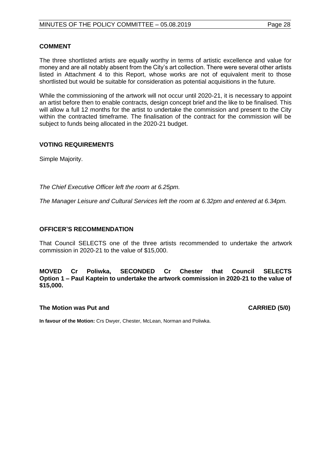#### **COMMENT**

The three shortlisted artists are equally worthy in terms of artistic excellence and value for money and are all notably absent from the City's art collection. There were several other artists listed in Attachment 4 to this Report, whose works are not of equivalent merit to those shortlisted but would be suitable for consideration as potential acquisitions in the future.

While the commissioning of the artwork will not occur until 2020-21, it is necessary to appoint an artist before then to enable contracts, design concept brief and the like to be finalised. This will allow a full 12 months for the artist to undertake the commission and present to the City within the contracted timeframe. The finalisation of the contract for the commission will be subject to funds being allocated in the 2020-21 budget.

#### **VOTING REQUIREMENTS**

Simple Majority.

*The Chief Executive Officer left the room at 6.25pm.*

*The Manager Leisure and Cultural Services left the room at 6.32pm and entered at 6.34pm.*

#### **OFFICER'S RECOMMENDATION**

That Council SELECTS one of the three artists recommended to undertake the artwork commission in 2020-21 to the value of \$15,000.

**MOVED Cr Poliwka, SECONDED Cr Chester that Council SELECTS Option 1 – Paul Kaptein to undertake the artwork commission in 2020-21 to the value of \$15,000.**

#### **The Motion was Put and CARRIED (5/0)**

**In favour of the Motion:** Crs Dwyer, Chester, McLean, Norman and Poliwka.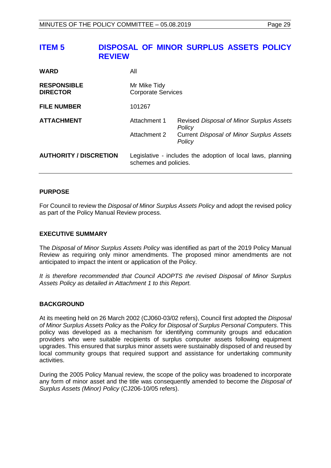## <span id="page-28-0"></span>**ITEM 5 DISPOSAL OF MINOR SURPLUS ASSETS POLICY REVIEW**

| <b>WARD</b>                           | All                                                                                  |                                                           |  |
|---------------------------------------|--------------------------------------------------------------------------------------|-----------------------------------------------------------|--|
| <b>RESPONSIBLE</b><br><b>DIRECTOR</b> | Mr Mike Tidy<br><b>Corporate Services</b>                                            |                                                           |  |
| <b>FILE NUMBER</b>                    | 101267                                                                               |                                                           |  |
| <b>ATTACHMENT</b>                     | Attachment 1                                                                         | Revised Disposal of Minor Surplus Assets<br>Policy        |  |
|                                       | Attachment 2                                                                         | <b>Current Disposal of Minor Surplus Assets</b><br>Policy |  |
| <b>AUTHORITY / DISCRETION</b>         | Legislative - includes the adoption of local laws, planning<br>schemes and policies. |                                                           |  |

#### **PURPOSE**

For Council to review the *Disposal of Minor Surplus Assets Policy* and adopt the revised policy as part of the Policy Manual Review process.

#### **EXECUTIVE SUMMARY**

The *Disposal of Minor Surplus Assets Policy* was identified as part of the 2019 Policy Manual Review as requiring only minor amendments. The proposed minor amendments are not anticipated to impact the intent or application of the Policy.

*It is therefore recommended that Council ADOPTS the revised Disposal of Minor Surplus Assets Policy as detailed in Attachment 1 to this Report.*

#### **BACKGROUND**

At its meeting held on 26 March 2002 (CJ060-03/02 refers), Council first adopted the *Disposal of Minor Surplus Assets Policy* as the *Policy for Disposal of Surplus Personal Computers*. This policy was developed as a mechanism for identifying community groups and education providers who were suitable recipients of surplus computer assets following equipment upgrades. This ensured that surplus minor assets were sustainably disposed of and reused by local community groups that required support and assistance for undertaking community activities.

During the 2005 Policy Manual review, the scope of the policy was broadened to incorporate any form of minor asset and the title was consequently amended to become the *Disposal of Surplus Assets (Minor) Policy* (CJ206-10/05 refers).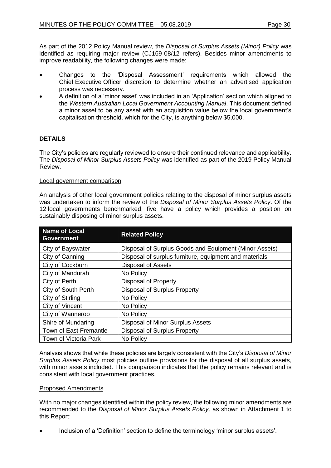As part of the 2012 Policy Manual review, the *Disposal of Surplus Assets (Minor) Policy* was identified as requiring major review (CJ169-08/12 refers). Besides minor amendments to improve readability, the following changes were made:

- Changes to the 'Disposal Assessment' requirements which allowed the Chief Executive Officer discretion to determine whether an advertised application process was necessary.
- A definition of a 'minor asset' was included in an 'Application' section which aligned to the *Western Australian Local Government Accounting Manual*. This document defined a minor asset to be any asset with an acquisition value below the local government's capitalisation threshold, which for the City, is anything below \$5,000.

#### **DETAILS**

The City's policies are regularly reviewed to ensure their continued relevance and applicability. The *Disposal of Minor Surplus Assets Policy* was identified as part of the 2019 Policy Manual Review.

#### Local government comparison

An analysis of other local government policies relating to the disposal of minor surplus assets was undertaken to inform the review of the *Disposal of Minor Surplus Assets Policy*. Of the 12 local governments benchmarked, five have a policy which provides a position on sustainably disposing of minor surplus assets.

| <b>Name of Local</b><br><b>Government</b> | <b>Related Policy</b>                                  |
|-------------------------------------------|--------------------------------------------------------|
| City of Bayswater                         | Disposal of Surplus Goods and Equipment (Minor Assets) |
| City of Canning                           | Disposal of surplus furniture, equipment and materials |
| City of Cockburn                          | <b>Disposal of Assets</b>                              |
| City of Mandurah                          | No Policy                                              |
| City of Perth                             | Disposal of Property                                   |
| City of South Perth                       | <b>Disposal of Surplus Property</b>                    |
| City of Stirling                          | No Policy                                              |
| City of Vincent                           | No Policy                                              |
| City of Wanneroo                          | No Policy                                              |
| Shire of Mundaring                        | Disposal of Minor Surplus Assets                       |
| Town of East Fremantle                    | <b>Disposal of Surplus Property</b>                    |
| Town of Victoria Park                     | No Policy                                              |

Analysis shows that while these policies are largely consistent with the City's *Disposal of Minor Surplus Assets Policy* most policies outline provisions for the disposal of all surplus assets, with minor assets included. This comparison indicates that the policy remains relevant and is consistent with local government practices.

#### Proposed Amendments

With no major changes identified within the policy review, the following minor amendments are recommended to the *Disposal of Minor Surplus Assets Policy,* as shown in Attachment 1 to this Report:

• Inclusion of a 'Definition' section to define the terminology 'minor surplus assets'.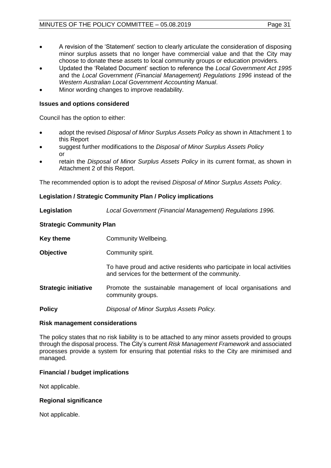- A revision of the 'Statement' section to clearly articulate the consideration of disposing minor surplus assets that no longer have commercial value and that the City may choose to donate these assets to local community groups or education providers.
- Updated the 'Related Document' section to reference the *Local Government Act 1995*  and the *Local Government (Financial Management) Regulations 1996* instead of the *Western Australian Local Government Accounting Manual*.
- Minor wording changes to improve readability.

#### **Issues and options considered**

Council has the option to either:

- adopt the revised *Disposal of Minor Surplus Assets Policy* as shown in Attachment 1 to this Report
- suggest further modifications to the *Disposal of Minor Surplus Assets Policy* or
- retain the *Disposal of Minor Surplus Assets Policy* in its current format, as shown in Attachment 2 of this Report.

The recommended option is to adopt the revised *Disposal of Minor Surplus Assets Policy*.

#### **Legislation / Strategic Community Plan / Policy implications**

**Legislation** *Local Government (Financial Management) Regulations 1996.*

#### **Strategic Community Plan**

**Key theme Community Wellbeing.** 

**Objective Community spirit.** 

To have proud and active residents who participate in local activities and services for the betterment of the community.

**Strategic initiative** Promote the sustainable management of local organisations and community groups.

**Policy** *Disposal of Minor Surplus Assets Policy.*

#### **Risk management considerations**

The policy states that no risk liability is to be attached to any minor assets provided to groups through the disposal process. The City's current *Risk Management Framework* and associated processes provide a system for ensuring that potential risks to the City are minimised and managed.

#### **Financial / budget implications**

Not applicable.

#### **Regional significance**

Not applicable.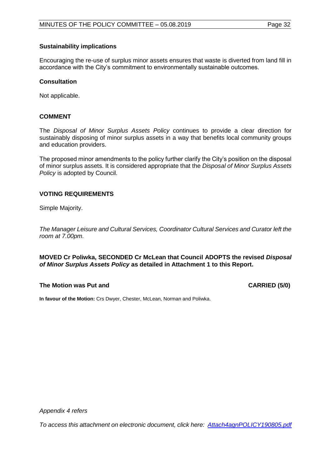#### **Sustainability implications**

Encouraging the re-use of surplus minor assets ensures that waste is diverted from land fill in accordance with the City's commitment to environmentally sustainable outcomes.

#### **Consultation**

Not applicable.

#### **COMMENT**

The *Disposal of Minor Surplus Assets Policy* continues to provide a clear direction for sustainably disposing of minor surplus assets in a way that benefits local community groups and education providers.

The proposed minor amendments to the policy further clarify the City's position on the disposal of minor surplus assets. It is considered appropriate that the *Disposal of Minor Surplus Assets Policy* is adopted by Council.

#### **VOTING REQUIREMENTS**

Simple Majority.

*The Manager Leisure and Cultural Services, Coordinator Cultural Services and Curator left the room at 7.00pm.*

**MOVED Cr Poliwka, SECONDED Cr McLean that Council ADOPTS the revised** *Disposal of Minor Surplus Assets Policy* **as detailed in Attachment 1 to this Report.**

#### **The Motion was Put and CARRIED (5/0)**

**In favour of the Motion:** Crs Dwyer, Chester, McLean, Norman and Poliwka.

*Appendix 4 refers*

*To access this attachment on electronic document, click here: [Attach4agnPOLICY190805.pdf](http://www.joondalup.wa.gov.au/files/committees/POLI/2019/Attach4agnPOLICY190805.pdf)*